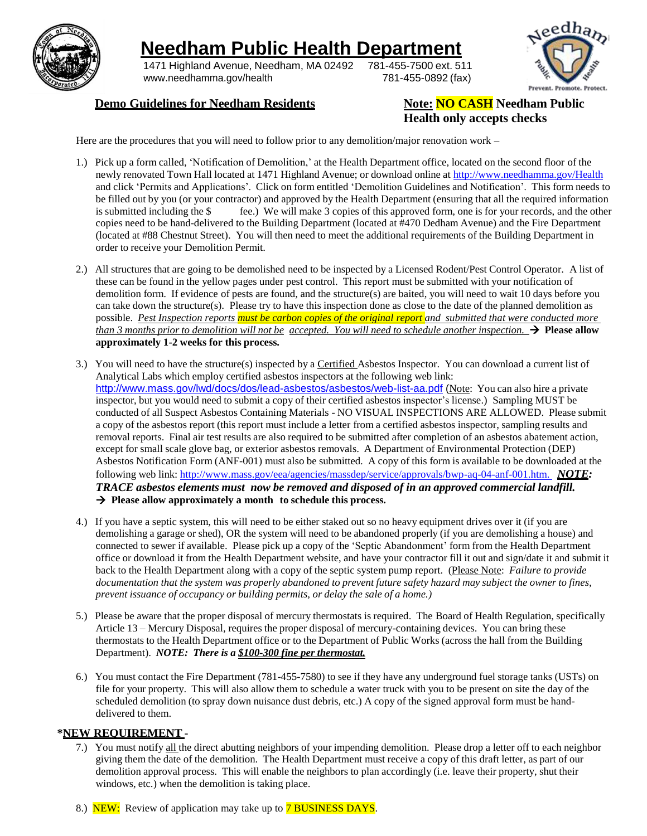

## **Needham Public Health Department**

1471 Highland Avenue, Needham, MA 02492 781-455-7500 ext. 511 [www.needhamma.gov/health](http://www.needhamma.gov/health) 781-455-0892 (fax)



#### **Demo Guidelines for Needham Residents Note: NO CASH Needham Public**

# **Health only accepts checks**

Here are the procedures that you will need to follow prior to any demolition/major renovation work –

- 1.) Pick up a form called, 'Notification of Demolition,' at the Health Department office, located on the second floor of the newly renovated Town Hall located at 1471 Highland Avenue; or download online at <http://www.needhamma.gov/Health> and click 'Permits and Applications'. Click on form entitled 'Demolition Guidelines and Notification'. This form needs to be filled out by you (or your contractor) and approved by the Health Department (ensuring that all the required information is submitted including the \$ fee.) We will make 3 copies of this approved form, one is for your records, and the other copies need to be hand-delivered to the Building Department (located at #470 Dedham Avenue) and the Fire Department (located at #88 Chestnut Street). You will then need to meet the additional requirements of the Building Department in order to receive your Demolition Permit.
- 2.) All structures that are going to be demolished need to be inspected by a Licensed Rodent/Pest Control Operator. A list of these can be found in the yellow pages under pest control. This report must be submitted with your notification of demolition form. If evidence of pests are found, and the structure(s) are baited, you will need to wait 10 days before you can take down the structure(s). Please try to have this inspection done as close to the date of the planned demolition as possible. *Pest Inspection reports must be carbon copies of the original report and submitted that were conducted more* than 3 months prior to demolition will not be accepted. You will need to schedule another inspection.  $\rightarrow$  Please allow **approximately 1-2 weeks for this process.**
- 3.) You will need to have the structure(s) inspected by a Certified Asbestos Inspector. You can download a current list of Analytical Labs which employ certified asbestos inspectors at the following web link: <http://www.mass.gov/lwd/docs/dos/lead-asbestos/asbestos/web-list-aa.pdf> (Note: You can also hire a private inspector, but you would need to submit a copy of their certified asbestos inspector's license.) Sampling MUST be conducted of all Suspect Asbestos Containing Materials - NO VISUAL INSPECTIONS ARE ALLOWED. Please submit a copy of the asbestos report (this report must include a letter from a certified asbestos inspector, sampling results and removal reports. Final air test results are also required to be submitted after completion of an asbestos abatement action, except for small scale glove bag, or exterior asbestos removals. A Department of Environmental Protection (DEP) Asbestos Notification Form (ANF-001) must also be submitted. A copy of this form is available to be downloaded at the following web link: http://www.mass.gov/eea/agencies/massdep/service/approvals/bwp-aq-04-anf-001.htm. *NOTE: TRACE asbestos elements must now be removed and disposed of in an approved commercial landfill.* **Please allow approximately a month to schedule this process.**
- 4.) If you have a septic system, this will need to be either staked out so no heavy equipment drives over it (if you are demolishing a garage or shed), OR the system will need to be abandoned properly (if you are demolishing a house) and connected to sewer if available. Please pick up a copy of the 'Septic Abandonment' form from the Health Department office or download it from the Health Department website, and have your contractor fill it out and sign/date it and submit it back to the Health Department along with a copy of the septic system pump report. (Please Note: *Failure to provide* documentation that the system was properly abandoned to prevent future safety hazard may subject the owner to fines, *prevent issuance of occupancy or building permits, or delay the sale of a home.)*
- 5.) Please be aware that the proper disposal of mercury thermostats is required. The Board of Health Regulation, specifically Article 13 – Mercury Disposal, requires the proper disposal of mercury-containing devices. You can bring these thermostats to the Health Department office or to the Department of Public Works (across the hall from the Building Department). *NOTE: There is a \$100-300 fine per thermostat.*
- 6.) You must contact the Fire Department (781-455-7580) to see if they have any underground fuel storage tanks (USTs) on file for your property. This will also allow them to schedule a water truck with you to be present on site the day of the scheduled demolition (to spray down nuisance dust debris, etc.) A copy of the signed approval form must be handdelivered to them.

#### **\*NEW REQUIREMENT** -

7.) You must notify all the direct abutting neighbors of your impending demolition. Please drop a letter off to each neighbor giving them the date of the demolition. The Health Department must receive a copy of this draft letter, as part of our demolition approval process. This will enable the neighbors to plan accordingly (i.e. leave their property, shut their windows, etc.) when the demolition is taking place.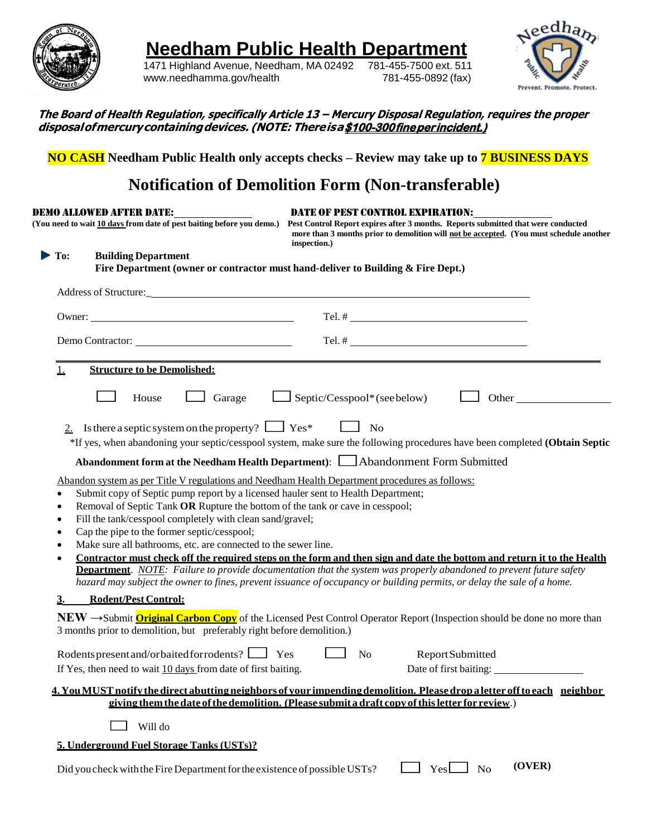

**Needham Public Health Department**<br>1471 Highland Avenue, Needham, MA 02492 781-455-7500 ext. 511

1471 Highland Avenue, Needham, MA 02492 781-455-7500 ext. 511 [www.needhamma.gov/health](http://www.needhamma.gov/health)



| The Board of Health Regulation, specifically Article 13 – Mercury Disposal Regulation, requires the proper |
|------------------------------------------------------------------------------------------------------------|
| disposal of mercury containing devices. (NOTE: There is a \$100-300 fine per incident.)                    |

**NO CASH Needham Public Health only accepts checks – Review may take up to 7 BUSINESS DAYS** 

### **Notification of Demolition Form (Non-transferable)**

|                                                            | DEMO ALLOWED AFTER DATE:<br>(You need to wait 10 days from date of pest baiting before you demo.)                                                                                                                                                                                                                                                | <b>DATE OF PEST CONTROL EXPIRATION:</b><br>Pest Control Report expires after 3 months. Reports submitted that were conducted<br>more than 3 months prior to demolition will not be accepted. (You must schedule another<br>inspection.)                                                                           |
|------------------------------------------------------------|--------------------------------------------------------------------------------------------------------------------------------------------------------------------------------------------------------------------------------------------------------------------------------------------------------------------------------------------------|-------------------------------------------------------------------------------------------------------------------------------------------------------------------------------------------------------------------------------------------------------------------------------------------------------------------|
| To:                                                        | <b>Building Department</b><br>Fire Department (owner or contractor must hand-deliver to Building & Fire Dept.)                                                                                                                                                                                                                                   |                                                                                                                                                                                                                                                                                                                   |
|                                                            |                                                                                                                                                                                                                                                                                                                                                  |                                                                                                                                                                                                                                                                                                                   |
|                                                            |                                                                                                                                                                                                                                                                                                                                                  |                                                                                                                                                                                                                                                                                                                   |
|                                                            |                                                                                                                                                                                                                                                                                                                                                  |                                                                                                                                                                                                                                                                                                                   |
| 1.                                                         | <b>Structure to be Demolished:</b>                                                                                                                                                                                                                                                                                                               |                                                                                                                                                                                                                                                                                                                   |
|                                                            | $\Box$ Garage<br>House                                                                                                                                                                                                                                                                                                                           | $\Box$ Septic/Cesspool*(see below)<br>Other                                                                                                                                                                                                                                                                       |
|                                                            | Is there a septic system on the property? $\Box$ Yes* $\Box$ No                                                                                                                                                                                                                                                                                  | *If yes, when abandoning your septic/cesspool system, make sure the following procedures have been completed (Obtain Septic<br>Abandonment form at the Needham Health Department):   Abandonment Form Submitted<br>Abandon system as per Title V regulations and Needham Health Department procedures as follows: |
| $\bullet$<br>$\bullet$<br>٠<br>$\bullet$<br>٠<br>$\bullet$ | Submit copy of Septic pump report by a licensed hauler sent to Health Department;<br>Removal of Septic Tank OR Rupture the bottom of the tank or cave in cesspool;<br>Fill the tank/cesspool completely with clean sand/gravel;<br>Cap the pipe to the former septic/cesspool;<br>Make sure all bathrooms, etc. are connected to the sewer line. | Contractor must check off the required steps on the form and then sign and date the bottom and return it to the Health                                                                                                                                                                                            |
|                                                            |                                                                                                                                                                                                                                                                                                                                                  | <b>Department</b> . NOTE: Failure to provide documentation that the system was properly abandoned to prevent future safety<br>hazard may subject the owner to fines, prevent issuance of occupancy or building permits, or delay the sale of a home.                                                              |
| <u>3.</u>                                                  | <b>Rodent/Pest Control:</b><br>3 months prior to demolition, but preferably right before demolition.)                                                                                                                                                                                                                                            | NEW  ightharpoonup Submit <b>Original Carbon Copy</b> of the Licensed Pest Control Operator Report (Inspection should be done no more than                                                                                                                                                                        |
|                                                            | Rodents present and/orbaited for rodents? <u>Let</u> Yes<br>If Yes, then need to wait 10 days from date of first baiting.                                                                                                                                                                                                                        | No<br>Report Submitted<br>Date of first baiting:                                                                                                                                                                                                                                                                  |
|                                                            |                                                                                                                                                                                                                                                                                                                                                  | 4. You MUST notify the direct abutting neighbors of your impending demolition. Please drop a letter off to each neighbor<br>giving them the date of the demolition. (Please submit a draft copy of this letter for review.)                                                                                       |
|                                                            |                                                                                                                                                                                                                                                                                                                                                  |                                                                                                                                                                                                                                                                                                                   |
|                                                            | Will do                                                                                                                                                                                                                                                                                                                                          |                                                                                                                                                                                                                                                                                                                   |
|                                                            | 5. Underground Fuel Storage Tanks (USTs)?                                                                                                                                                                                                                                                                                                        |                                                                                                                                                                                                                                                                                                                   |
|                                                            | Did you check with the Fire Department for the existence of possible USTs?                                                                                                                                                                                                                                                                       | (OVER)<br>$Yes \Box No$                                                                                                                                                                                                                                                                                           |